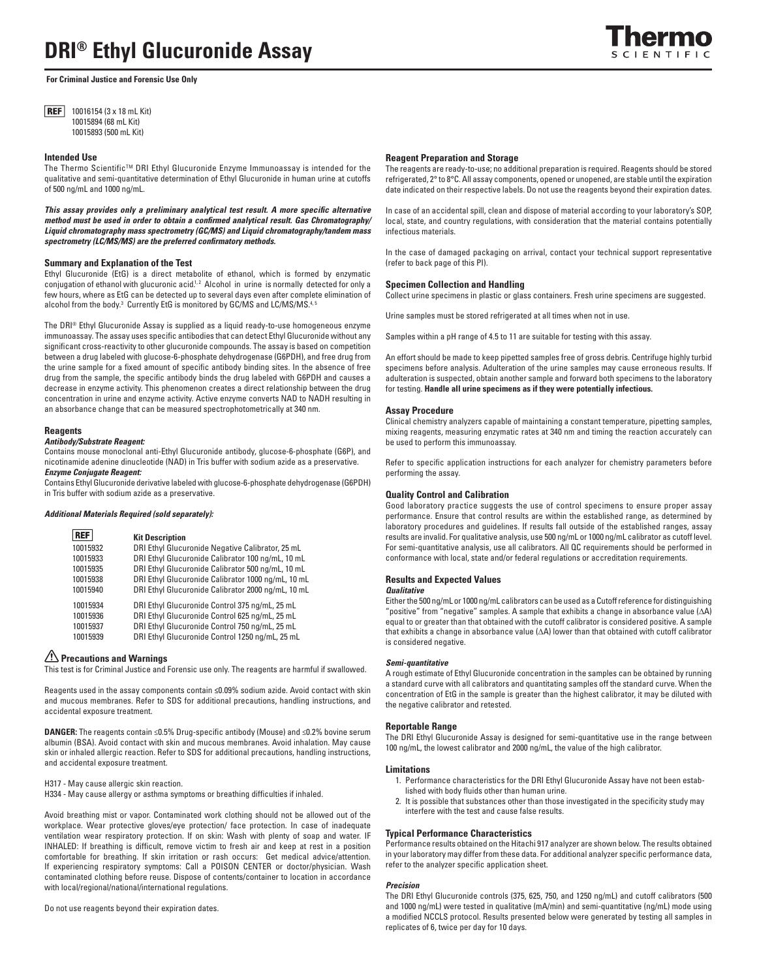**For Criminal Justice and Forensic Use Only**

**REF** 10016154 (3 x 18 mL Kit) 10015894 (68 mL Kit) 10015893 (500 mL Kit)

### **Intended Use**

The Thermo Scientific™ DRI Ethyl Glucuronide Enzyme Immunoassay is intended for the qualitative and semi-quantitative determination of Ethyl Glucuronide in human urine at cutoffs of 500 ng/mL and 1000 ng/mL.

This assay provides only a preliminary analytical test result. A more specific alternative method must be used in order to obtain a confirmed analytical result. Gas Chromatography/ *Liquid chromatography mass spectrometry (GC/MS) and Liquid chromatography/tandem mass*  spectrometry (LC/MS/MS) are the preferred confirmatory methods.

# **Summary and Explanation of the Test**

Ethyl Glucuronide (EtG) is a direct metabolite of ethanol, which is formed by enzymatic conjugation of ethanol with glucuronic acid<sup>1,2</sup> Alcohol in urine is normally detected for only a few hours, where as EtG can be detected up to several days even after complete elimination of alcohol from the body.<sup>3</sup> Currently EtG is monitored by GC/MS and LC/MS/MS.<sup>4, 5</sup>

The DRI® Ethyl Glucuronide Assay is supplied as a liquid ready-to-use homogeneous enzyme immunoassay. The assay uses specific antibodies that can detect Ethyl Glucuronide without any significant cross-reactivity to other glucuronide compounds. The assay is based on competition between a drug labeled with glucose-6-phosphate dehydrogenase (G6PDH), and free drug from the urine sample for a fixed amount of specific antibody binding sites. In the absence of free drug from the sample, the specific antibody binds the drug labeled with G6PDH and causes a decrease in enzyme activity. This phenomenon creates a direct relationship between the drug concentration in urine and enzyme activity. Active enzyme converts NAD to NADH resulting in an absorbance change that can be measured spectrophotometrically at 340 nm.

### **Reagents**

### *Antibody/Substrate Reagent:*

Contains mouse monoclonal anti-Ethyl Glucuronide antibody, glucose-6-phosphate (G6P), and nicotinamide adenine dinucleotide (NAD) in Tris buffer with sodium azide as a preservative. *Enzyme Conjugate Reagent:* 

Contains Ethyl Glucuronide derivative labeled with glucose-6-phosphate dehydrogenase (G6PDH) in Tris buffer with sodium azide as a preservative.

### *Additional Materials Required (sold separately):*

| <b>REF</b> | <b>Kit Description</b>                             |
|------------|----------------------------------------------------|
| 10015932   | DRI Ethyl Glucuronide Negative Calibrator, 25 mL   |
| 10015933   | DRI Ethyl Glucuronide Calibrator 100 ng/mL, 10 mL  |
| 10015935   | DRI Ethyl Glucuronide Calibrator 500 ng/mL, 10 mL  |
| 10015938   | DRI Ethyl Glucuronide Calibrator 1000 ng/mL, 10 mL |
| 10015940   | DRI Ethyl Glucuronide Calibrator 2000 ng/mL, 10 mL |
| 10015934   | DRI Ethyl Glucuronide Control 375 ng/mL, 25 mL     |
| 10015936   | DRI Ethyl Glucuronide Control 625 ng/mL, 25 mL     |
| 10015937   | DRI Ethyl Glucuronide Control 750 ng/mL, 25 mL     |
| 10015939   | DRI Ethyl Glucuronide Control 1250 ng/mL, 25 mL    |

# **Precautions and Warnings**

This test is for Criminal Justice and Forensic use only. The reagents are harmful if swallowed.

Reagents used in the assay components contain **≤**0.09% sodium azide. Avoid contact with skin and mucous membranes. Refer to SDS for additional precautions, handling instructions, and accidental exposure treatment.

**DANGER:** The reagents contain ≤0.5% Drug-specific antibody (Mouse) and ≤0.2% bovine serum albumin (BSA). Avoid contact with skin and mucous membranes. Avoid inhalation. May cause skin or inhaled allergic reaction. Refer to SDS for additional precautions, handling instructions, and accidental exposure treatment.

### H317 - May cause allergic skin reaction.

H334 - May cause allergy or asthma symptoms or breathing difficulties if inhaled.

Avoid breathing mist or vapor. Contaminated work clothing should not be allowed out of the workplace. Wear protective gloves/eye protection/ face protection. In case of inadequate ventilation wear respiratory protection. If on skin: Wash with plenty of soap and water. IF INHALED: If breathing is difficult, remove victim to fresh air and keep at rest in a position comfortable for breathing. If skin irritation or rash occurs: Get medical advice/attention. If experiencing respiratory symptoms: Call a POISON CENTER or doctor/physician. Wash contaminated clothing before reuse. Dispose of contents/container to location in accordance with local/regional/national/international regulations.

### Do not use reagents beyond their expiration dates.

### **Reagent Preparation and Storage**

The reagents are ready-to-use; no additional preparation is required. Reagents should be stored refrigerated, 2° to 8°C. All assay components, opened or unopened, are stable until the expiration date indicated on their respective labels. Do not use the reagents beyond their expiration dates.

In case of an accidental spill, clean and dispose of material according to your laboratory's SOP, local, state, and country regulations, with consideration that the material contains potentially infectious materials.

In the case of damaged packaging on arrival, contact your technical support representative (refer to back page of this PI).

# **Specimen Collection and Handling**

Collect urine specimens in plastic or glass containers. Fresh urine specimens are suggested.

Urine samples must be stored refrigerated at all times when not in use.

Samples within a pH range of 4.5 to 11 are suitable for testing with this assay.

An effort should be made to keep pipetted samples free of gross debris. Centrifuge highly turbid specimens before analysis. Adulteration of the urine samples may cause erroneous results. If adulteration is suspected, obtain another sample and forward both specimens to the laboratory for testing. **Handle all urine specimens as if they were potentially infectious.**

#### **Assay Procedure**

Clinical chemistry analyzers capable of maintaining a constant temperature, pipetting samples, mixing reagents, measuring enzymatic rates at 340 nm and timing the reaction accurately can be used to perform this immunoassay.

Refer to specific application instructions for each analyzer for chemistry parameters before performing the assay.

### **Quality Control and Calibration**

Good laboratory practice suggests the use of control specimens to ensure proper assay performance. Ensure that control results are within the established range, as determined by laboratory procedures and guidelines. If results fall outside of the established ranges, assay results are invalid. For qualitative analysis, use 500 ng/mL or 1000 ng/mL calibrator as cutoff level. For semi-quantitative analysis, use all calibrators. All QC requirements should be performed in conformance with local, state and/or federal regulations or accreditation requirements.

### **Results and Expected Values**

# *Qualitative*

Either the 500 ng/mL or 1000 ng/mL calibrators can be used as a Cutoff reference for distinguishing "positive" from "negative" samples. A sample that exhibits a change in absorbance value ( $\Delta A$ ) equal to or greater than that obtained with the cutoff calibrator is considered positive. A sample that exhibits a change in absorbance value  $(\Delta A)$  lower than that obtained with cutoff calibrator is considered negative.

### *Semi-quantitative*

A rough estimate of Ethyl Glucuronide concentration in the samples can be obtained by running a standard curve with all calibrators and quantitating samples off the standard curve. When the concentration of EtG in the sample is greater than the highest calibrator, it may be diluted with the negative calibrator and retested.

### **Reportable Range**

The DRI Ethyl Glucuronide Assay is designed for semi-quantitative use in the range between 100 ng/mL, the lowest calibrator and 2000 ng/mL, the value of the high calibrator.

#### **Limitations**

- 1. Performance characteristics for the DRI Ethyl Glucuronide Assay have not been established with body fluids other than human urine.
- 2. It is possible that substances other than those investigated in the specificity study may interfere with the test and cause false results.

# **Typical Performance Characteristics**

Performance results obtained on the Hitachi 917 analyzer are shown below. The results obtained in your laboratory may differ from these data. For additional analyzer specific performance data, refer to the analyzer specific application sheet.

#### *Precision*

The DRI Ethyl Glucuronide controls (375, 625, 750, and 1250 ng/mL) and cutoff calibrators (500 and 1000 ng/mL) were tested in qualitative (mA/min) and semi-quantitative (ng/mL) mode using a modified NCCLS protocol. Results presented below were generated by testing all samples in replicates of 6, twice per day for 10 days.

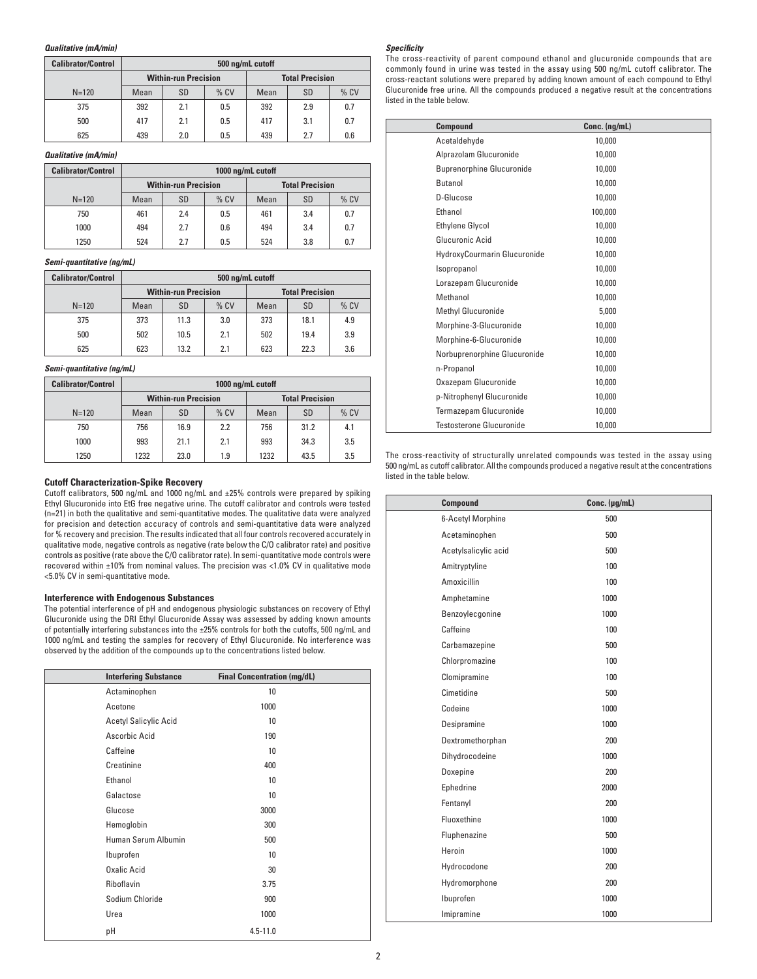### *Qualitative (mA/min)*

| <b>Calibrator/Control</b> | 500 ng/mL cutoff            |           |        |      |                        |        |
|---------------------------|-----------------------------|-----------|--------|------|------------------------|--------|
|                           | <b>Within-run Precision</b> |           |        |      | <b>Total Precision</b> |        |
| $N = 120$                 | Mean                        | <b>SD</b> | $%$ CV | Mean | SD                     | $%$ CV |
| 375                       | 392                         | 2.1       | 0.5    | 392  | 2.9                    | 0.7    |
| 500                       | 417                         | 2.1       | 0.5    | 417  | 3.1                    | 0.7    |
| 625                       | 439                         | 2.0       | 0.5    | 439  | 2.7                    | 0.6    |

### *Qualitative (mA/min)*

| <b>Calibrator/Control</b> | 1000 ng/mL cutoff           |           |        |      |                        |        |
|---------------------------|-----------------------------|-----------|--------|------|------------------------|--------|
|                           | <b>Within-run Precision</b> |           |        |      | <b>Total Precision</b> |        |
| $N = 120$                 | Mean                        | <b>SD</b> | $%$ CV | Mean | <b>SD</b>              | $%$ CV |
| 750                       | 461                         | 2.4       | 0.5    | 461  | 3.4                    | 0.7    |
| 1000                      | 494                         | 2.7       | 0.6    | 494  | 3.4                    | 0.7    |
| 1250                      | 524                         | 2.7       | 0.5    | 524  | 3.8                    | 0.7    |

# *Semi-quantitative (ng/mL)*

| <b>Calibrator/Control</b> | 500 ng/mL cutoff            |           |        |      |                        |      |
|---------------------------|-----------------------------|-----------|--------|------|------------------------|------|
|                           | <b>Within-run Precision</b> |           |        |      | <b>Total Precision</b> |      |
| $N = 120$                 | Mean                        | <b>SD</b> | $%$ CV | Mean | SD                     | % CV |
| 375                       | 373                         | 11.3      | 3.0    | 373  | 18.1                   | 4.9  |
| 500                       | 502                         | 10.5      | 2.1    | 502  | 19.4                   | 3.9  |
| 625                       | 623                         | 13.2      | 2.1    | 623  | 22.3                   | 3.6  |

# *Semi-quantitative (ng/mL)*

| <b>Calibrator/Control</b> | 1000 ng/mL cutoff           |      |        |      |                        |        |
|---------------------------|-----------------------------|------|--------|------|------------------------|--------|
|                           | <b>Within-run Precision</b> |      |        |      | <b>Total Precision</b> |        |
| $N = 120$                 | Mean                        | SD   | $%$ CV | Mean | <b>SD</b>              | $%$ CV |
| 750                       | 756                         | 16.9 | 2.2    | 756  | 31.2                   | 4.1    |
| 1000                      | 993                         | 21.1 | 2.1    | 993  | 34.3                   | 3.5    |
| 1250                      | 1232                        | 23.0 | 1.9    | 1232 | 43.5                   | 3.5    |

# **Cutoff Characterization-Spike Recovery**

Cutoff calibrators, 500 ng/mL and 1000 ng/mL and ±25% controls were prepared by spiking Ethyl Glucuronide into EtG free negative urine. The cutoff calibrator and controls were tested (n=21) in both the qualitative and semi-quantitative modes. The qualitative data were analyzed for precision and detection accuracy of controls and semi-quantitative data were analyzed for % recovery and precision. The results indicated that all four controls recovered accurately in qualitative mode, negative controls as negative (rate below the C/O calibrator rate) and positive controls as positive (rate above the C/O calibrator rate). In semi-quantitative mode controls were recovered within ±10% from nominal values. The precision was <1.0% CV in qualitative mode <5.0% CV in semi-quantitative mode.

# **Interference with Endogenous Substances**

The potential interference of pH and endogenous physiologic substances on recovery of Ethyl Glucuronide using the DRI Ethyl Glucuronide Assay was assessed by adding known amounts of potentially interfering substances into the ±25% controls for both the cutoffs, 500 ng/mL and 1000 ng/mL and testing the samples for recovery of Ethyl Glucuronide. No interference was observed by the addition of the compounds up to the concentrations listed below.

|    | <b>Interfering Substance</b> | <b>Final Concentration (mg/dL)</b> |  |
|----|------------------------------|------------------------------------|--|
|    | Actaminophen                 | 10                                 |  |
|    | Acetone                      | 1000                               |  |
|    | <b>Acetyl Salicylic Acid</b> | 10                                 |  |
|    | Ascorbic Acid                | 190                                |  |
|    | Caffeine                     | 10                                 |  |
|    | Creatinine                   | 400                                |  |
|    | Ethanol                      | 10                                 |  |
|    | Galactose                    | 10                                 |  |
|    | Glucose                      | 3000                               |  |
|    | Hemoglobin                   | 300                                |  |
|    | Human Serum Albumin          | 500                                |  |
|    | Ibuprofen                    | 10                                 |  |
|    | <b>Oxalic Acid</b>           | 30                                 |  |
|    | Riboflavin                   | 3.75                               |  |
|    | Sodium Chloride              | 900                                |  |
|    | Urea                         | 1000                               |  |
| рH |                              | $4.5 - 11.0$                       |  |

## *Specifi city*

The cross-reactivity of parent compound ethanol and glucuronide compounds that are commonly found in urine was tested in the assay using 500 ng/mL cutoff calibrator. The cross-reactant solutions were prepared by adding known amount of each compound to Ethyl Glucuronide free urine. All the compounds produced a negative result at the concentrations listed in the table below.

| Compound                         | Conc. (ng/mL) |
|----------------------------------|---------------|
| Acetaldehyde                     | 10,000        |
| Alprazolam Glucuronide           | 10,000        |
| <b>Buprenorphine Glucuronide</b> | 10,000        |
| Butanol                          | 10,000        |
| D-Glucose                        | 10,000        |
| Ethanol                          | 100,000       |
| <b>Ethylene Glycol</b>           | 10,000        |
| Glucuronic Acid                  | 10,000        |
| HydroxyCourmarin Glucuronide     | 10,000        |
| Isopropanol                      | 10,000        |
| Lorazepam Glucuronide            | 10,000        |
| Methanol                         | 10,000        |
| Methyl Glucuronide               | 5,000         |
| Morphine-3-Glucuronide           | 10,000        |
| Morphine-6-Glucuronide           | 10,000        |
| Norbuprenorphine Glucuronide     | 10.000        |
| n-Propanol                       | 10,000        |
| Oxazepam Glucuronide             | 10,000        |
| p-Nitrophenyl Glucuronide        | 10,000        |
| Termazepam Glucuronide           | 10,000        |
| <b>Testosterone Glucuronide</b>  | 10,000        |

The cross-reactivity of structurally unrelated compounds was tested in the assay using 500 ng/mL as cutoff calibrator. All the compounds produced a negative result at the concentrations listed in the table below.

| <b>Compound</b>      | Conc. (µg/mL) |
|----------------------|---------------|
| 6-Acetyl Morphine    | 500           |
| Acetaminophen        | 500           |
| Acetylsalicylic acid | 500           |
| Amitryptyline        | 100           |
| Amoxicillin          | 100           |
| Amphetamine          | 1000          |
| Benzoylecgonine      | 1000          |
| Caffeine             | 100           |
| Carbamazepine        | 500           |
| Chlorpromazine       | 100           |
| Clomipramine         | 100           |
| Cimetidine           | 500           |
| Codeine              | 1000          |
| Desipramine          | 1000          |
| Dextromethorphan     | 200           |
| Dihydrocodeine       | 1000          |
| Doxepine             | 200           |
| Ephedrine            | 2000          |
| Fentanyl             | 200           |
| Fluoxethine          | 1000          |
| Fluphenazine         | 500           |
| Heroin               | 1000          |
| Hydrocodone          | 200           |
| Hydromorphone        | 200           |
| Ibuprofen            | 1000          |
| Imipramine           | 1000          |
|                      |               |